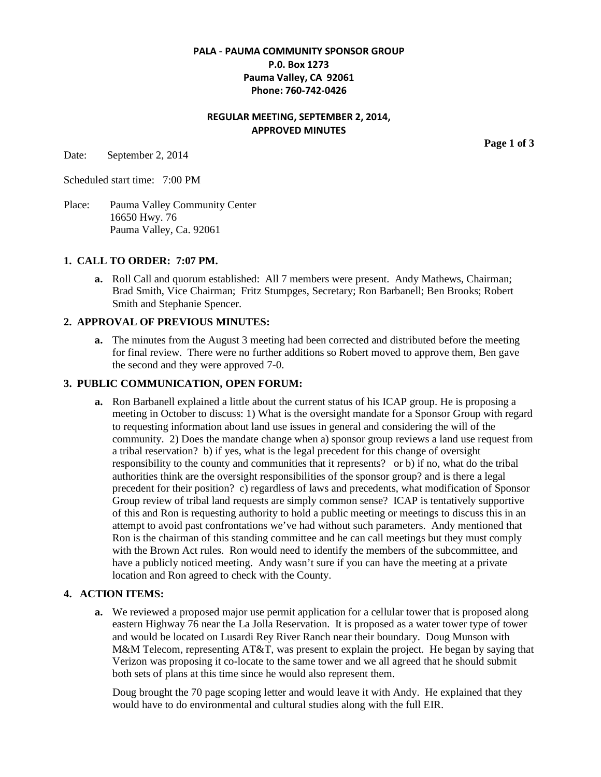# **PALA - PAUMA COMMUNITY SPONSOR GROUP P.0. Box 1273 Pauma Valley, CA 92061 Phone: 760-742-0426**

# **REGULAR MEETING, SEPTEMBER 2, 2014, APPROVED MINUTES**

Date: September 2, 2014

Scheduled start time: 7:00 PM

Place: Pauma Valley Community Center 16650 Hwy. 76 Pauma Valley, Ca. 92061

### **1. CALL TO ORDER: 7:07 PM.**

**a.** Roll Call and quorum established: All 7 members were present. Andy Mathews, Chairman; Brad Smith, Vice Chairman; Fritz Stumpges, Secretary; Ron Barbanell; Ben Brooks; Robert Smith and Stephanie Spencer.

### **2. APPROVAL OF PREVIOUS MINUTES:**

**a.** The minutes from the August 3 meeting had been corrected and distributed before the meeting for final review. There were no further additions so Robert moved to approve them, Ben gave the second and they were approved 7-0.

### **3. PUBLIC COMMUNICATION, OPEN FORUM:**

**a.** Ron Barbanell explained a little about the current status of his ICAP group. He is proposing a meeting in October to discuss: 1) What is the oversight mandate for a Sponsor Group with regard to requesting information about land use issues in general and considering the will of the community. 2) Does the mandate change when a) sponsor group reviews a land use request from a tribal reservation? b) if yes, what is the legal precedent for this change of oversight responsibility to the county and communities that it represents? or b) if no, what do the tribal authorities think are the oversight responsibilities of the sponsor group? and is there a legal precedent for their position? c) regardless of laws and precedents, what modification of Sponsor Group review of tribal land requests are simply common sense? ICAP is tentatively supportive of this and Ron is requesting authority to hold a public meeting or meetings to discuss this in an attempt to avoid past confrontations we've had without such parameters. Andy mentioned that Ron is the chairman of this standing committee and he can call meetings but they must comply with the Brown Act rules. Ron would need to identify the members of the subcommittee, and have a publicly noticed meeting. Andy wasn't sure if you can have the meeting at a private location and Ron agreed to check with the County.

#### **4. ACTION ITEMS:**

**a.** We reviewed a proposed major use permit application for a cellular tower that is proposed along eastern Highway 76 near the La Jolla Reservation. It is proposed as a water tower type of tower and would be located on Lusardi Rey River Ranch near their boundary. Doug Munson with M&M Telecom, representing AT&T, was present to explain the project. He began by saying that Verizon was proposing it co-locate to the same tower and we all agreed that he should submit both sets of plans at this time since he would also represent them.

Doug brought the 70 page scoping letter and would leave it with Andy. He explained that they would have to do environmental and cultural studies along with the full EIR.

**Page 1 of 3**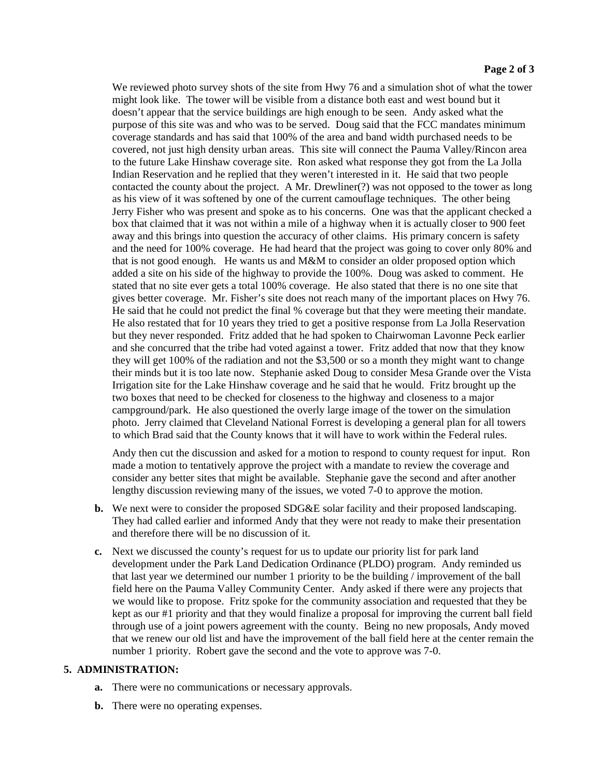We reviewed photo survey shots of the site from Hwy 76 and a simulation shot of what the tower might look like. The tower will be visible from a distance both east and west bound but it doesn't appear that the service buildings are high enough to be seen. Andy asked what the purpose of this site was and who was to be served. Doug said that the FCC mandates minimum coverage standards and has said that 100% of the area and band width purchased needs to be covered, not just high density urban areas. This site will connect the Pauma Valley/Rincon area to the future Lake Hinshaw coverage site. Ron asked what response they got from the La Jolla Indian Reservation and he replied that they weren't interested in it. He said that two people contacted the county about the project. A Mr. Drewliner(?) was not opposed to the tower as long as his view of it was softened by one of the current camouflage techniques. The other being Jerry Fisher who was present and spoke as to his concerns. One was that the applicant checked a box that claimed that it was not within a mile of a highway when it is actually closer to 900 feet away and this brings into question the accuracy of other claims. His primary concern is safety and the need for 100% coverage. He had heard that the project was going to cover only 80% and that is not good enough. He wants us and M&M to consider an older proposed option which added a site on his side of the highway to provide the 100%. Doug was asked to comment. He stated that no site ever gets a total 100% coverage. He also stated that there is no one site that gives better coverage. Mr. Fisher's site does not reach many of the important places on Hwy 76. He said that he could not predict the final % coverage but that they were meeting their mandate. He also restated that for 10 years they tried to get a positive response from La Jolla Reservation but they never responded. Fritz added that he had spoken to Chairwoman Lavonne Peck earlier and she concurred that the tribe had voted against a tower. Fritz added that now that they know they will get 100% of the radiation and not the \$3,500 or so a month they might want to change their minds but it is too late now. Stephanie asked Doug to consider Mesa Grande over the Vista Irrigation site for the Lake Hinshaw coverage and he said that he would. Fritz brought up the two boxes that need to be checked for closeness to the highway and closeness to a major campground/park. He also questioned the overly large image of the tower on the simulation photo. Jerry claimed that Cleveland National Forrest is developing a general plan for all towers to which Brad said that the County knows that it will have to work within the Federal rules.

Andy then cut the discussion and asked for a motion to respond to county request for input. Ron made a motion to tentatively approve the project with a mandate to review the coverage and consider any better sites that might be available. Stephanie gave the second and after another lengthy discussion reviewing many of the issues, we voted 7-0 to approve the motion.

- **b.** We next were to consider the proposed SDG&E solar facility and their proposed landscaping. They had called earlier and informed Andy that they were not ready to make their presentation and therefore there will be no discussion of it.
- **c.** Next we discussed the county's request for us to update our priority list for park land development under the Park Land Dedication Ordinance (PLDO) program. Andy reminded us that last year we determined our number 1 priority to be the building / improvement of the ball field here on the Pauma Valley Community Center. Andy asked if there were any projects that we would like to propose. Fritz spoke for the community association and requested that they be kept as our #1 priority and that they would finalize a proposal for improving the current ball field through use of a joint powers agreement with the county. Being no new proposals, Andy moved that we renew our old list and have the improvement of the ball field here at the center remain the number 1 priority. Robert gave the second and the vote to approve was 7-0.

### **5. ADMINISTRATION:**

- **a.** There were no communications or necessary approvals.
- **b.** There were no operating expenses.